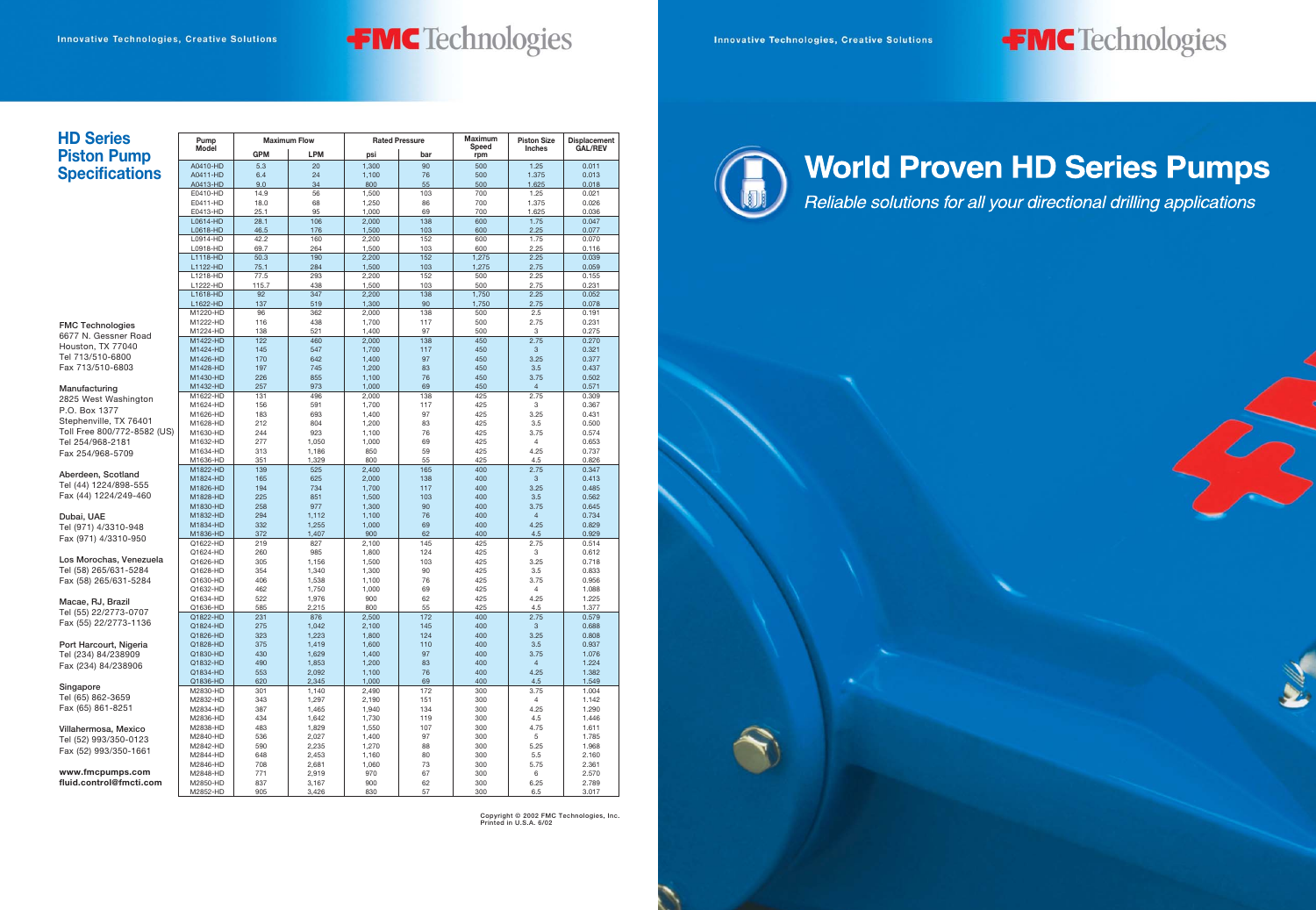**Copyright © 2002 FMC Technologies, Inc. Printed in U.S.A. 6/02**





# **World Proven HD Series Pumps**

Reliable solutions for all your directional drilling applications



#### **HD Series Piston Pump S**

|                             | A0410-HD             | 5.3        | 20             | 1,300          | 90         | 500        | 1.25           | 0.011          |
|-----------------------------|----------------------|------------|----------------|----------------|------------|------------|----------------|----------------|
| <b>Specifications</b>       | A0411-HD             | 6.4        | 24             | 1,100          | 76         | 500        | 1.375          | 0.013          |
|                             | A0413-HD             | 9.0        | 34             | 800            | 55         | 500        | 1.625          | 0.018          |
|                             | E0410-HD             | 14.9       | 56             | 1,500          | 103        | 700        | 1.25           | 0.021          |
|                             | E0411-HD             | 18.0       | 68             | 1,250          | 86         | 700        | 1.375          | 0.026          |
|                             | E0413-HD             | 25.1       | 95             | 1,000          | 69         | 700        | 1.625          | 0.036          |
|                             | L0614-HD             | 28.1       | 106            | 2,000          | 138        | 600        | 1.75           | 0.047          |
|                             | L0618-HD             | 46.5       | 176            | 1,500          | 103        | 600        | 2.25           | 0.077          |
|                             | L0914-HD             | 42.2       | 160            | 2,200          | 152        | 600        | 1.75           | 0.070          |
|                             | L0918-HD             | 69.7       | 264            | 1,500          | 103        | 600        | 2.25           | 0.116          |
|                             | L1118-HD             | 50.3       | 190            | 2,200          | 152        | 1,275      | 2.25           | 0.039          |
|                             | L1122-HD             | 75.1       | 284            | 1,500          | 103        | 1,275      | 2.75           | 0.059          |
|                             | L1218-HD             | 77.5       | 293            | 2,200          | 152        | 500        | 2.25           | 0.155          |
|                             | L1222-HD             | 115.7      | 438            | 1,500          | 103        | 500        | 2.75           | 0.231          |
|                             | L1618-HD             | 92         | 347            | 2,200          | 138        | 1,750      | 2.25           | 0.052          |
|                             | L1622-HD             | 137        | 519            | 1,300          | 90         | 1,750      | 2.75           | 0.078          |
|                             | M1220-HD             | 96         | 362            | 2,000          | 138        | 500        | 2.5            | 0.191          |
| <b>FMC Technologies</b>     | M1222-HD             | 116        | 438            | 1,700          | 117        | 500        | 2.75           | 0.231          |
| 6677 N. Gessner Road        | M1224-HD             | 138        | 521            | 1,400          | 97         | 500        | 3              | 0.275          |
| Houston, TX 77040           | M1422-HD             | 122        | 460            | 2,000          | 138        | 450        | 2.75           | 0.270          |
| Tel 713/510-6800            | M1424-HD             | 145        | 547            | 1,700          | 117        | 450        | 3              | 0.321          |
|                             | M1426-HD             | 170        | 642            | 1,400          | 97         | 450        | 3.25           | 0.377          |
| Fax 713/510-6803            | M1428-HD             | 197        | 745            | 1,200          | 83         | 450        | 3.5            | 0.437          |
|                             | M1430-HD             | 226        | 855            | 1,100          | 76         | 450        | 3.75           | 0.502          |
| Manufacturing               | M1432-HD             | 257        | 973            | 1,000          | 69         | 450        | $\overline{4}$ | 0.571          |
| 2825 West Washington        | M1622-HD             | 131        | 496            | 2,000          | 138        | 425        | 2.75           | 0.309          |
| P.O. Box 1377               | M1624-HD             | 156        | 591            | 1,700          | 117        | 425        | 3              | 0.367          |
| Stephenville, TX 76401      | M1626-HD             | 183        | 693            | 1,400          | 97         | 425        | 3.25           | 0.431          |
| Toll Free 800/772-8582 (US) | M1628-HD             | 212        | 804<br>923     | 1,200          | 83<br>76   | 425<br>425 | 3.5<br>3.75    | 0.500          |
| Tel 254/968-2181            | M1630-HD<br>M1632-HD | 244<br>277 | 1,050          | 1,100<br>1,000 | 69         | 425        | $\overline{4}$ | 0.574<br>0.653 |
|                             | M1634-HD             | 313        | 1,186          | 850            | 59         | 425        | 4.25           | 0.737          |
| Fax 254/968-5709            | M1636-HD             | 351        | 1,329          | 800            | 55         | 425        | 4.5            | 0.826          |
|                             | M1822-HD             | 139        | 525            | 2,400          | 165        | 400        | 2.75           | 0.347          |
| Aberdeen, Scotland          | M1824-HD             | 165        | 625            | 2,000          | 138        | 400        | 3              | 0.413          |
| Tel (44) 1224/898-555       | M1826-HD             | 194        | 734            | 1,700          | 117        | 400        | 3.25           | 0.485          |
| Fax (44) 1224/249-460       | M1828-HD             | 225        | 851            | 1,500          | 103        | 400        | 3.5            | 0.562          |
|                             | M1830-HD             | 258        | 977            | 1,300          | 90         | 400        | 3.75           | 0.645          |
| Dubai, UAE                  | M1832-HD             | 294        | 1,112          | 1,100          | 76         | 400        | $\overline{4}$ | 0.734          |
| Tel (971) 4/3310-948        | M1834-HD             | 332        | 1,255          | 1,000          | 69         | 400        | 4.25           | 0.829          |
|                             | M1836-HD             | 372        | 1,407          | 900            | 62         | 400        | 4.5            | 0.929          |
| Fax (971) 4/3310-950        | Q1622-HD             | 219        | 827            | 2,100          | 145        | 425        | 2.75           | 0.514          |
|                             | Q1624-HD             | 260        | 985            | 1,800          | 124        | 425        | 3              | 0.612          |
| Los Morochas, Venezuela     | Q1626-HD             | 305        | 1,156          | 1,500          | 103        | 425        | 3.25           | 0.718          |
| Tel (58) 265/631-5284       | Q1628-HD             | 354        | 1,340          | 1,300          | 90         | 425        | 3.5            | 0.833          |
| Fax (58) 265/631-5284       | Q1630-HD             | 406        | 1,538          | 1,100          | 76         | 425        | 3.75           | 0.956          |
|                             | Q1632-HD             | 462        | 1,750          | 1,000          | 69         | 425        | 4              | 1.088          |
| Macae, RJ, Brazil           | Q1634-HD             | 522        | 1,976          | 900            | 62         | 425        | 4.25           | 1.225          |
| Tel (55) 22/2773-0707       | Q1636-HD             | 585        | 2,215          | 800            | 55         | 425        | 4.5            | 1.377          |
| Fax (55) 22/2773-1136       | Q1822-HD             | 231        | 876            | 2,500          | 172        | 400        | 2.75           | 0.579          |
|                             | Q1824-HD             | 275        | 1,042          | 2,100          | 145        | 400        | 3              | 0.688          |
| Port Harcourt, Nigeria      | Q1826-HD<br>Q1828-HD | 323<br>375 | 1,223          | 1,800          | 124<br>110 | 400<br>400 | 3.25           | 0.808<br>0.937 |
|                             | Q1830-HD             | 430        | 1,419<br>1,629 | 1,600<br>1,400 | 97         | 400        | 3.5<br>3.75    | 1.076          |
| Tel (234) 84/238909         | Q1832-HD             | 490        | 1,853          | 1,200          | 83         | 400        | $\overline{4}$ | 1.224          |
| Fax (234) 84/238906         | Q1834-HD             | 553        | 2,092          | 1,100          | 76         | 400        | 4.25           | 1.382          |
|                             | Q1836-HD             | 620        | 2,345          | 1,000          | 69         | 400        | 4.5            | 1.549          |
| Singapore                   | M2830-HD             | 301        | 1,140          | 2,490          | 172        | 300        | 3.75           | 1.004          |
| Tel (65) 862-3659           | M2832-HD             | 343        | 1,297          | 2,190          | 151        | 300        | 4              | 1.142          |
| Fax (65) 861-8251           | M2834-HD             | 387        | 1,465          | 1,940          | 134        | 300        | 4.25           | 1.290          |
|                             | M2836-HD             | 434        | 1,642          | 1,730          | 119        | 300        | 4.5            | 1.446          |
| Villahermosa, Mexico        | M2838-HD             | 483        | 1,829          | 1,550          | 107        | 300        | 4.75           | 1.611          |
| Tel (52) 993/350-0123       | M2840-HD             | 536        | 2,027          | 1,400          | 97         | 300        | 5              | 1.785          |
|                             | M2842-HD             | 590        | 2,235          | 1,270          | 88         | 300        | 5.25           | 1.968          |
| Fax (52) 993/350-1661       | M2844-HD             | 648        | 2,453          | 1,160          | 80         | 300        | 5.5            | 2.160          |
|                             | M2846-HD             | 708        | 2,681          | 1,060          | 73         | 300        | 5.75           | 2.361          |
| www.fmcpumps.com            | M2848-HD             | 771        | 2,919          | 970            | 67         | 300        | 6              | 2.570          |
| fluid.control@fmcti.com     | M2850-HD             | 837        | 3,167          | 900            | 62         | 300        | 6.25           | 2.789          |
|                             | M2852-HD             | 905        | 3,426          | 830            | 57         | 300        | 6.5            | 3.017          |

GPM | LPM | psi | bar **Maximum Flow Rated Pressure** 

**Pump Model**

### **FMC** Technologies

**Speed rpm**

**Piston Size Inches**

**Displacement GAL/REV**